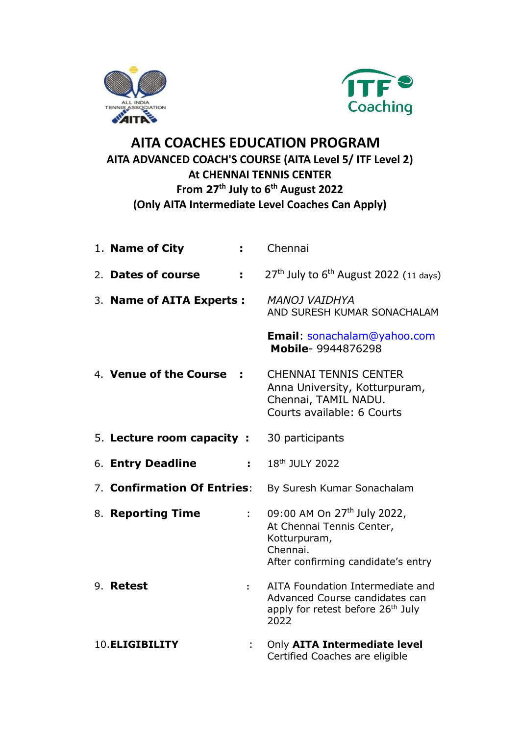



## **AITA COACHES EDUCATION PROGRAM AITA ADVANCED COACH'S COURSE (AITA Level 5/ ITF Level 2) At CHENNAI TENNIS CENTER From 27 th July to 6th August 2022 (Only AITA Intermediate Level Coaches Can Apply)**

| 1. Name of City             |                           | Chennai                                                                                                                                |
|-----------------------------|---------------------------|----------------------------------------------------------------------------------------------------------------------------------------|
| 2. Dates of course          | ÷.                        | $27th$ July to 6 <sup>th</sup> August 2022 (11 days)                                                                                   |
| 3. Name of AITA Experts :   |                           | <b>MANOJ VAIDHYA</b><br>AND SURESH KUMAR SONACHALAM                                                                                    |
|                             |                           | <b>Email: sonachalam@yahoo.com</b><br>Mobile- 9944876298                                                                               |
| 4. Venue of the Course      | ÷                         | <b>CHENNAI TENNIS CENTER</b><br>Anna University, Kotturpuram,<br>Chennai, TAMIL NADU.<br>Courts available: 6 Courts                    |
| 5. Lecture room capacity :  |                           | 30 participants                                                                                                                        |
| 6. Entry Deadline           | t i                       | 18th JULY 2022                                                                                                                         |
| 7. Confirmation Of Entries: |                           | By Suresh Kumar Sonachalam                                                                                                             |
| 8. Reporting Time           | $\mathbb{R}^{n \times n}$ | 09:00 AM On 27 <sup>th</sup> July 2022,<br>At Chennai Tennis Center,<br>Kotturpuram,<br>Chennai.<br>After confirming candidate's entry |
| 9. Retest                   | $\ddot{\cdot}$            | AITA Foundation Intermediate and<br>Advanced Course candidates can<br>apply for retest before 26 <sup>th</sup> July<br>2022            |
| 10. ELIGIBILITY             |                           | Only AITA Intermediate level<br>Certified Coaches are eligible                                                                         |